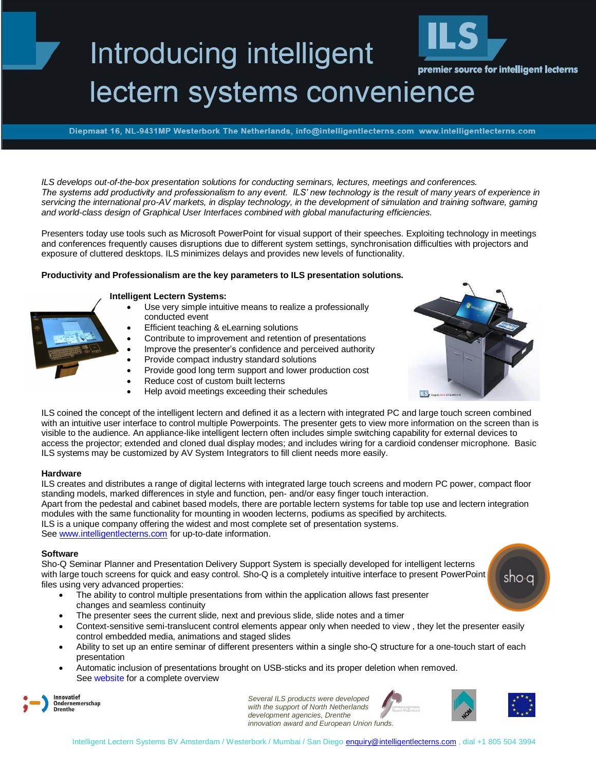# Introducing intelligent premier source for intelligent lecterns lectern systems convenience

Diepmaat 16, NL-9431MP Westerbork The Netherlands, info@intelligentlecterns.com www.intelligentlecterns.com

*ILS develops out-of-the-box presentation solutions for conducting seminars, lectures, meetings and conferences. The systems add productivity and professionalism to any event. ILS' new technology is the result of many years of experience in servicing the international pro-AV markets, in display technology, in the development of simulation and training software, gaming and world-class design of Graphical User Interfaces combined with global manufacturing efficiencies.*

Presenters today use tools such as Microsoft PowerPoint for visual support of their speeches. Exploiting technology in meetings and conferences frequently causes disruptions due to different system settings, synchronisation difficulties with projectors and exposure of cluttered desktops. ILS minimizes delays and provides new levels of functionality.

### **Productivity and Professionalism are the key parameters to ILS presentation solutions.**

#### **Intelligent Lectern Systems:**

- Use very simple intuitive means to realize a professionally conducted event
- Efficient teaching & eLearning solutions
- Contribute to improvement and retention of presentations
- Improve the presenter's confidence and perceived authority
- Provide compact industry standard solutions
- Provide good long term support and lower production cost
- Reduce cost of custom built lecterns
- Help avoid meetings exceeding their schedules



ILS coined the concept of the intelligent lectern and defined it as a lectern with integrated PC and large touch screen combined with an intuitive user interface to control multiple Powerpoints. The presenter gets to view more information on the screen than is visible to the audience. An appliance-like intelligent lectern often includes simple switching capability for external devices to access the projector; extended and cloned dual display modes; and includes wiring for a cardioid condenser microphone. Basic ILS systems may be customized by AV System Integrators to fill client needs more easily.

### **Hardware**

ILS creates and distributes a range of digital lecterns with integrated large touch screens and modern PC power, compact floor standing models, marked differences in style and function, pen- and/or easy finger touch interaction.

Apart from the pedestal and cabinet based models, there are portable lectern systems for table top use and lectern integration modules with the same functionality for mounting in wooden lecterns, podiums as specified by architects.

ILS is a unique company offering the widest and most complete set of presentation systems.

See [www.intelligentlecterns.com](http://www.intelligentlecterns.com/) for up-to-date information.

### **Software**

Sho-Q Seminar Planner and Presentation Delivery Support System is specially developed for intelligent lecterns with large touch screens for quick and easy control. Sho-Q is a completely intuitive interface to present PowerPoint files using very advanced properties:

- The ability to control multiple presentations from within the application allows fast presenter changes and seamless continuity
- The presenter sees the current slide, next and previous slide, slide notes and a timer
- Context-sensitive semi-translucent control elements appear only when needed to view , they let the presenter easily control embedded media, animations and staged slides
- Ability to set up an entire seminar of different presenters within a single sho-Q structure for a one-touch start of each presentation
- Automatic inclusion of presentations brought on USB-sticks and its proper deletion when removed. See [website](http://www.sho-q.com/) for a complete overview



*Several ILS products were developed with the support of North Netherlands development agencies, Drenthe innovation award and European Union funds.*





sho∙a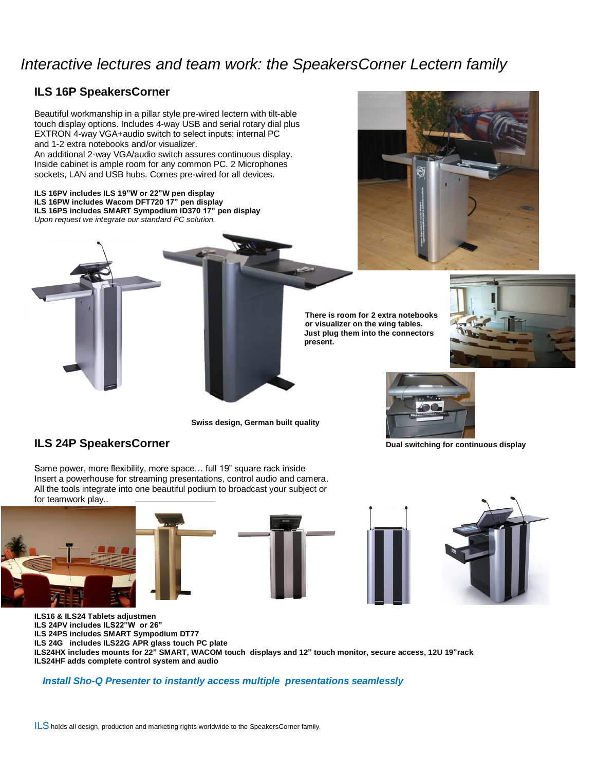# *Interactive lectures and team work: the SpeakersCorner Lectern family*

# **ILS 16P SpeakersCorner**

Beautiful workmanship in a pillar style pre-wired lectern with tilt-able touch display options. Includes 4-way USB and serial rotary dial plus EXTRON 4-way VGA+audio switch to select inputs: internal PC and 1-2 extra notebooks and/or visualizer.

An additional 2-way VGA/audio switch assures continuous display. Inside cabinet is ample room for any common PC. 2 Microphones sockets, LAN and USB hubs. Comes pre-wired for all devices.

**ILS 16PV includes ILS 19"W or 22"W pen display ILS 16PW includes Wacom DFT720 17" pen display ILS 16PS includes SMART Sympodium ID370 17" pen display** *Upon request we integrate our standard PC solution.*



 **There is room for 2 extra notebooks or visualizer on the wing tables. Just plug them into the connectors present.**



**Swiss design, German built quality**

# **ILS 24P SpeakersCorner Dual switching for continuous display**

Same power, more flexibility, more space… full 19" square rack inside Insert a powerhouse for streaming presentations, control audio and camera. All the tools integrate into one beautiful podium to broadcast your subject or for teamwork play..





**ILS16 & ILS24 Tablets adjustment ILS 24PV includes ILS22"W or 26" ILS 24PS includes SMART Sympodium DT77 ILS 24G includes ILS22G APR glass touch PC plate ILS24HX includes mounts for 22" SMART, WACOM touch displays and 12" touch monitor, secure access, 12U 19"rack ILS24HF adds complete control system and audio**

### *Install Sho-Q Presenter to instantly access multiple presentations seamlessly*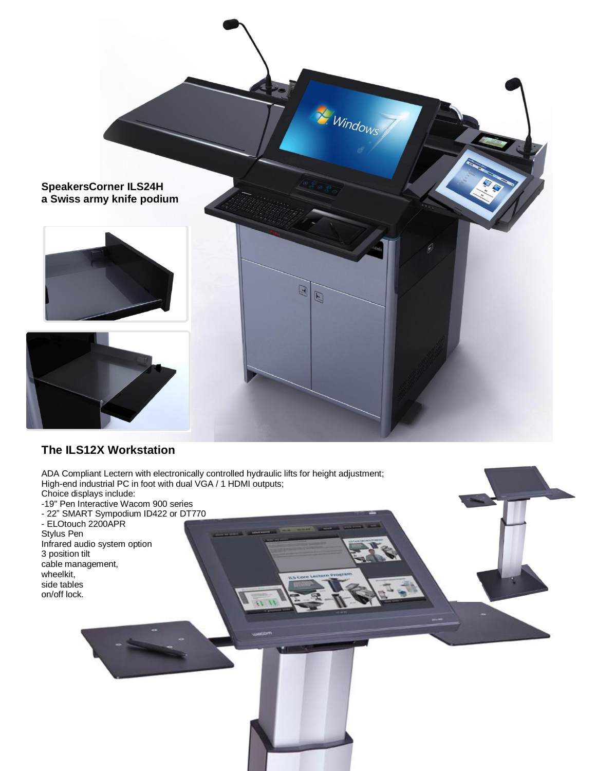

# **The ILS12X Workstation**

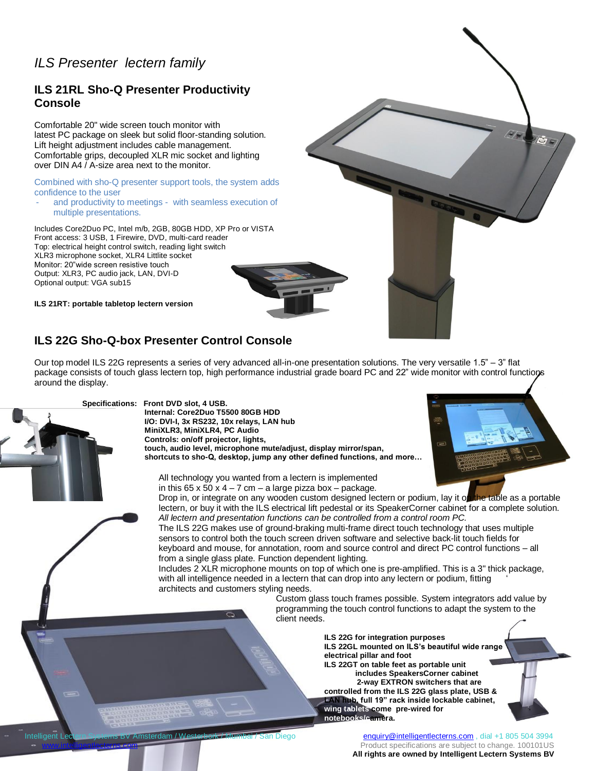# *ILS Presenter lectern family*

# **ILS 21RL Sho-Q Presenter Productivity Console**

Comfortable 20" wide screen touch monitor with latest PC package on sleek but solid floor-standing solution. Lift height adjustment includes cable management. Comfortable grips, decoupled XLR mic socket and lighting over DIN A4 / A-size area next to the monitor.

#### Combined with sho-Q presenter support tools, the system adds confidence to the user

and productivity to meetings - with seamless execution of multiple presentations.

Includes Core2Duo PC, Intel m/b, 2GB, 80GB HDD, XP Pro or VISTA Front access: 3 USB, 1 Firewire, DVD, multi-card reader Top: electrical height control switch, reading light switch XLR3 microphone socket, XLR4 Littlite socket Monitor: 20"wide screen resistive touch Output: XLR3, PC audio jack, LAN, DVI-D Optional output: VGA sub15

**ILS 21RT: portable tabletop lectern version**

# **ILS 22G Sho-Q-box Presenter Control Console**

Our top model ILS 22G represents a series of very advanced all-in-one presentation solutions. The very versatile 1.5" – 3" flat package consists of touch glass lectern top, high performance industrial grade board PC and 22" wide monitor with control functions around the display.



**Internal: Core2Duo T5500 80GB HDD I/O: DVI-I, 3x RS232, 10x relays, LAN hub MiniXLR3, MiniXLR4, PC Audio Controls: on/off projector, lights, touch, audio level, microphone mute/adjust, display mirror/span, shortcuts to sho-Q, desktop, jump any other defined functions, and more…**



All technology you wanted from a lectern is implemented in this  $65 \times 50 \times 4 - 7$  cm – a large pizza box – package.

Drop in, or integrate on any wooden custom designed lectern or podium, lay it on the table as a portable lectern, or buy it with the ILS electrical lift pedestal or its SpeakerCorner cabinet for a complete solution. *All lectern and presentation functions can be controlled from a control room PC.*

The ILS 22G makes use of ground-braking multi-frame direct touch technology that uses multiple sensors to control both the touch screen driven software and selective back-lit touch fields for keyboard and mouse, for annotation, room and source control and direct PC control functions – all from a single glass plate. Function dependent lighting.

Includes 2 XLR microphone mounts on top of which one is pre-amplified. This is a 3" thick package, with all intelligence needed in a lectern that can drop into any lectern or podium, fitting architects and customers styling needs.

> Custom glass touch frames possible. System integrators add value by programming the touch control functions to adapt the system to the client needs.

### **ILS 22G for integration purposes**

**ILS 22GL mounted on ILS's beautiful wide range electrical pillar and foot ILS 22GT on table feet as portable unit**

**Includes SpeakersCorner cabinet way and 2-way EXTRON switchers that are controlled from the ILS 22G glass plate, USB & LAN hub, full 19" rack inside lockable cabinet, wing tablets come pre-wired for notebooks/camera.**

Intelligent Lectern Systems BV Amsterdam / Westerbork / Mumbai / San Diego enterproducernic [enquiry@intelligentlecterns.com](mailto:enquiry@intelligentlecterns.com) , dial +1 805 504 3994 Product specifications are subject to change. 100101US **All rights are owned by Intelligent Lectern Systems BV**